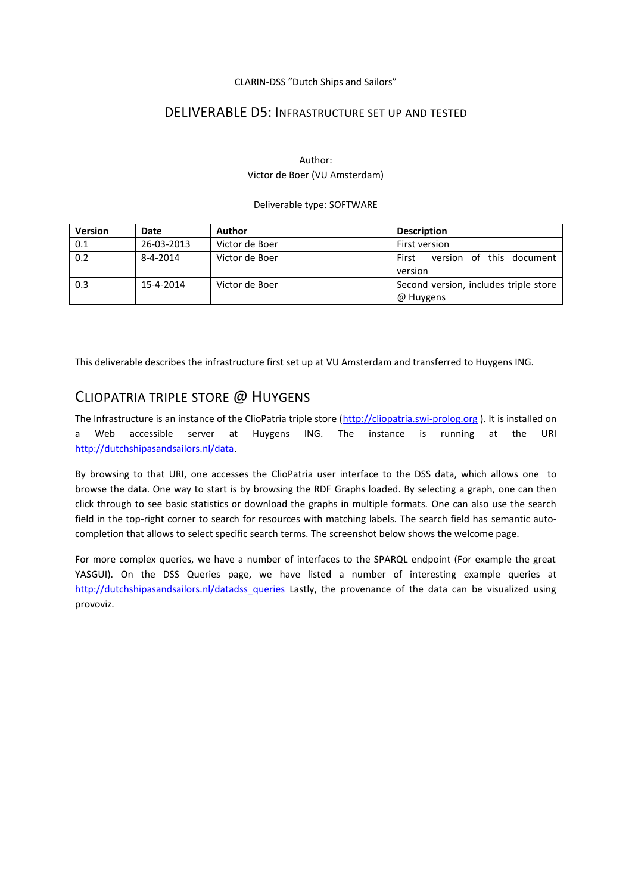#### CLARIN-DSS "Dutch Ships and Sailors"

### DELIVERABLE D5: INFRASTRUCTURE SET UP AND TESTED

### Author: Victor de Boer (VU Amsterdam)

#### Deliverable type: SOFTWARE

| <b>Version</b> | Date       | Author         | <b>Description</b>                                 |
|----------------|------------|----------------|----------------------------------------------------|
| 0.1            | 26-03-2013 | Victor de Boer | First version                                      |
| 0.2            | 8-4-2014   | Victor de Boer | version of this document<br>First<br>version       |
| 0.3            | 15-4-2014  | Victor de Boer | Second version, includes triple store<br>@ Huygens |

This deliverable describes the infrastructure first set up at VU Amsterdam and transferred to Huygens ING.

## CLIOPATRIA TRIPLE STORE @ HUYGENS

The Infrastructure is an instance of the ClioPatria triple store [\(http://cliopatria.swi-prolog.org](http://cliopatria.swi-prolog.org/)). It is installed on a Web accessible server at Huygens ING. The instance is running at the URI [http://dutchshipasandsailors.nl/data.](http://dutchshipasandsailors.nl/data)

By browsing to that URI, one accesses the ClioPatria user interface to the DSS data, which allows one to browse the data. One way to start is by browsing the RDF Graphs loaded. By selecting a graph, one can then click through to see basic statistics or download the graphs in multiple formats. One can also use the search field in the top-right corner to search for resources with matching labels. The search field has semantic autocompletion that allows to select specific search terms. The screenshot below shows the welcome page.

For more complex queries, we have a number of interfaces to the SPARQL endpoint (For example the great YASGUI). On the DSS Queries page, we have listed a number of interesting example queries at [http://dutchshipasandsailors.nl/datadss\\_queries](http://dutchshipasandsailors.nl/datadss_queries) Lastly, the provenance of the data can be visualized using provoviz.